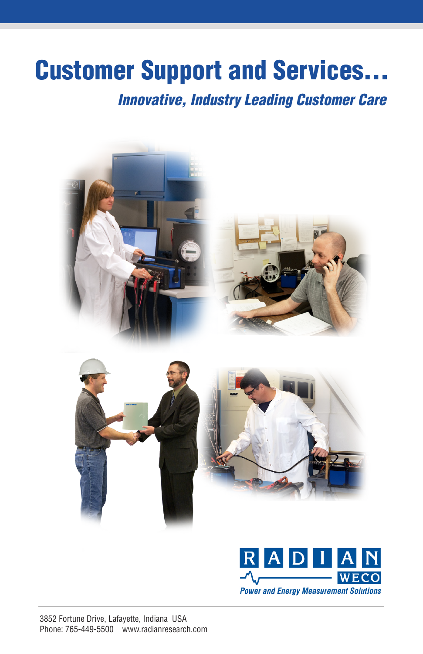# Customer Support and Services…

 *Innovative, Industry Leading Customer Care*



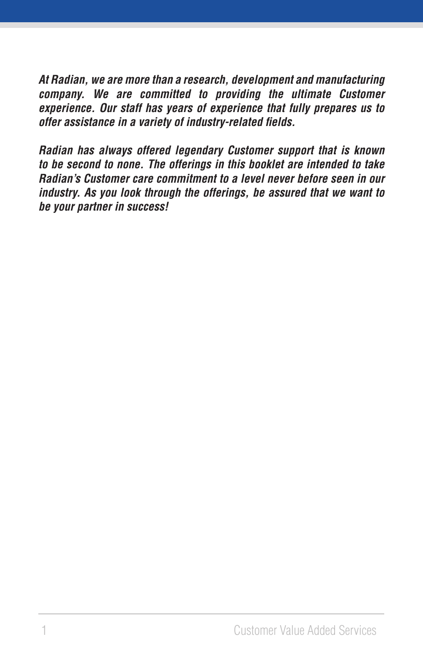*At Radian, we are more than a research, development and manufacturing company. We are committed to providing the ultimate Customer experience. Our staff has years of experience that fully prepares us to offer assistance in a variety of industry-related fields.* 

*Radian has always offered legendary Customer support that is known to be second to none. The offerings in this booklet are intended to take Radian's Customer care commitment to a level never before seen in our industry. As you look through the offerings, be assured that we want to be your partner in success!*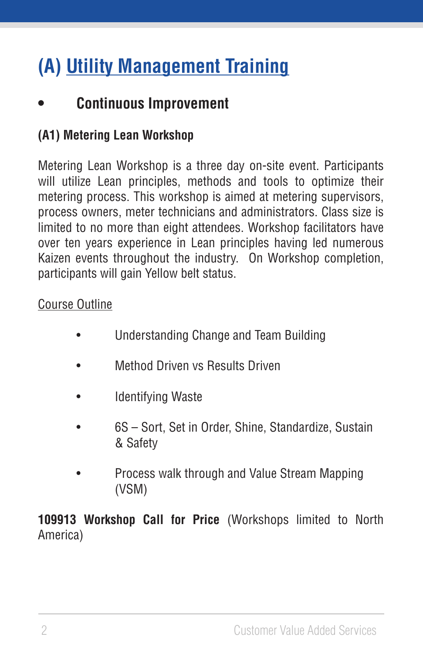# **(A) Utility Management Training**

# **• Continuous Improvement**

# **(A1) Metering Lean Workshop**

Metering Lean Workshop is a three day on-site event. Participants will utilize Lean principles, methods and tools to optimize their metering process. This workshop is aimed at metering supervisors, process owners, meter technicians and administrators. Class size is limited to no more than eight attendees. Workshop facilitators have over ten years experience in Lean principles having led numerous Kaizen events throughout the industry. On Workshop completion, participants will gain Yellow belt status.

# Course Outline

- Understanding Change and Team Building
- Method Driven vs Results Driven
- **Identifying Waste**
- 6S Sort, Set in Order, Shine, Standardize, Sustain & Safety
- Process walk through and Value Stream Mapping (VSM)

**109913 Workshop Call for Price** (Workshops limited to North America)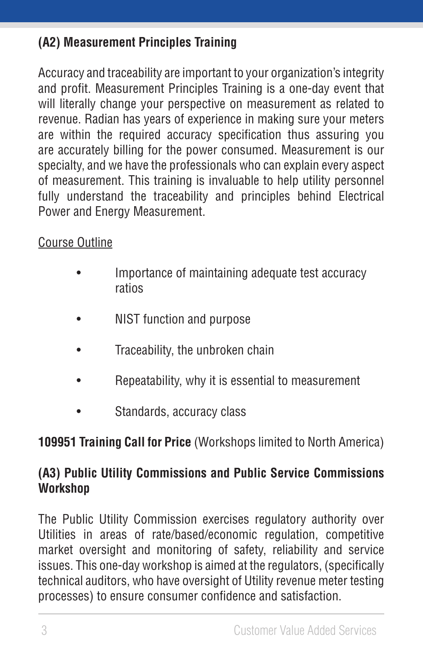# **(A2) Measurement Principles Training**

Accuracy and traceability are important to your organization's integrity and profit. Measurement Principles Training is a one-day event that will literally change your perspective on measurement as related to revenue. Radian has years of experience in making sure your meters are within the required accuracy specification thus assuring you are accurately billing for the power consumed. Measurement is our specialty, and we have the professionals who can explain every aspect of measurement. This training is invaluable to help utility personnel fully understand the traceability and principles behind Electrical Power and Energy Measurement.

# Course Outline

- Importance of maintaining adequate test accuracy ratios
- NIST function and purpose
- Traceability, the unbroken chain
- Repeatability, why it is essential to measurement
- Standards, accuracy class

# **109951 Training Call for Price** (Workshops limited to North America)

# **(A3) Public Utility Commissions and Public Service Commissions Workshop**

The Public Utility Commission exercises regulatory authority over Utilities in areas of rate/based/economic regulation, competitive market oversight and monitoring of safety, reliability and service issues. This one-day workshop is aimed at the regulators, (specifically technical auditors, who have oversight of Utility revenue meter testing processes) to ensure consumer confidence and satisfaction.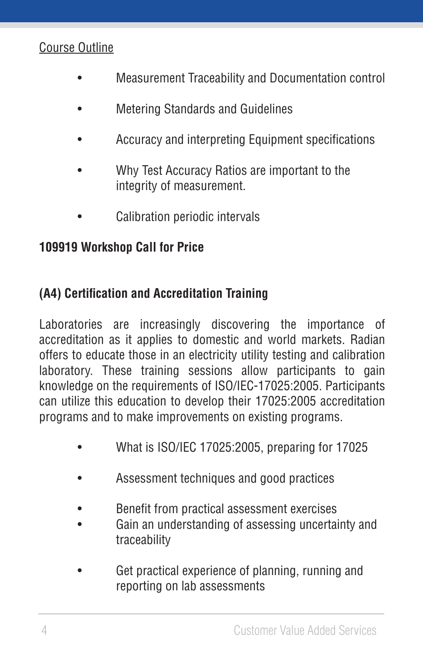# Course Outline

- Measurement Traceability and Documentation control
- Metering Standards and Guidelines
- Accuracy and interpreting Equipment specifications
- Why Test Accuracy Ratios are important to the integrity of measurement.
- Calibration periodic intervals

### **109919 Workshop Call for Price**

# **(A4) Certification and Accreditation Training**

Laboratories are increasingly discovering the importance of accreditation as it applies to domestic and world markets. Radian offers to educate those in an electricity utility testing and calibration laboratory. These training sessions allow participants to gain knowledge on the requirements of ISO/IEC-17025:2005. Participants can utilize this education to develop their 17025:2005 accreditation programs and to make improvements on existing programs.

- What is ISO/IEC 17025:2005, preparing for 17025
- Assessment techniques and good practices
- Benefit from practical assessment exercises
- Gain an understanding of assessing uncertainty and traceability
- Get practical experience of planning, running and reporting on lab assessments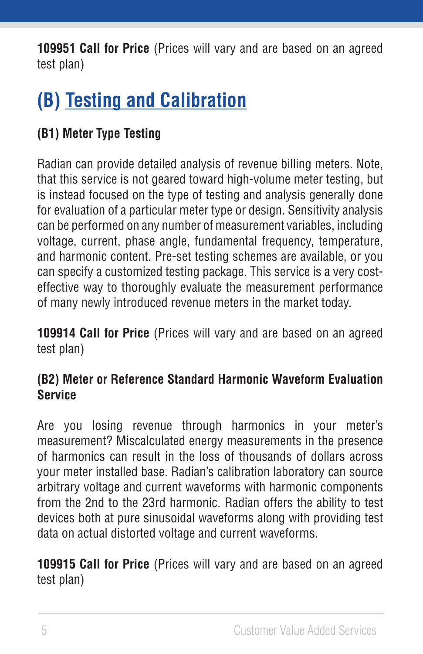**109951 Call for Price** (Prices will vary and are based on an agreed test plan)

# **(B) Testing and Calibration**

# **(B1) Meter Type Testing**

Radian can provide detailed analysis of revenue billing meters. Note, that this service is not geared toward high-volume meter testing, but is instead focused on the type of testing and analysis generally done for evaluation of a particular meter type or design. Sensitivity analysis can be performed on any number of measurement variables, including voltage, current, phase angle, fundamental frequency, temperature, and harmonic content. Pre-set testing schemes are available, or you can specify a customized testing package. This service is a very costeffective way to thoroughly evaluate the measurement performance of many newly introduced revenue meters in the market today.

**109914 Call for Price** (Prices will vary and are based on an agreed test plan)

# **(B2) Meter or Reference Standard Harmonic Waveform Evaluation Service**

Are you losing revenue through harmonics in your meter's measurement? Miscalculated energy measurements in the presence of harmonics can result in the loss of thousands of dollars across your meter installed base. Radian's calibration laboratory can source arbitrary voltage and current waveforms with harmonic components from the 2nd to the 23rd harmonic. Radian offers the ability to test devices both at pure sinusoidal waveforms along with providing test data on actual distorted voltage and current waveforms.

**109915 Call for Price** (Prices will vary and are based on an agreed test plan)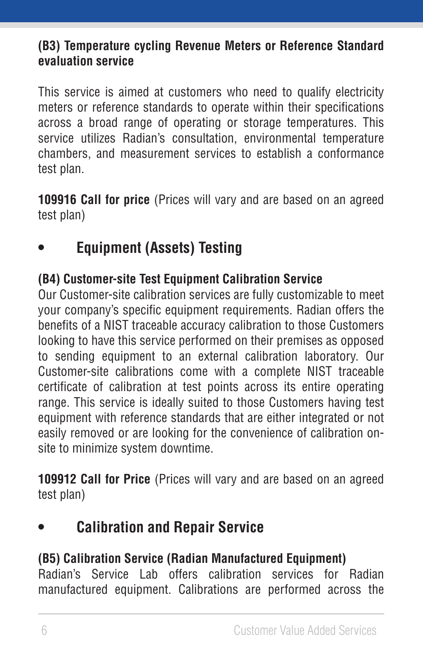# **(B3) Temperature cycling Revenue Meters or Reference Standard evaluation service**

This service is aimed at customers who need to qualify electricity meters or reference standards to operate within their specifications across a broad range of operating or storage temperatures. This service utilizes Radian's consultation, environmental temperature chambers, and measurement services to establish a conformance test plan.

**109916 Call for price** (Prices will vary and are based on an agreed test plan)

# **• Equipment (Assets) Testing**

# **(B4) Customer-site Test Equipment Calibration Service**

Our Customer-site calibration services are fully customizable to meet your company's specific equipment requirements. Radian offers the benefits of a NIST traceable accuracy calibration to those Customers looking to have this service performed on their premises as opposed to sending equipment to an external calibration laboratory. Our Customer-site calibrations come with a complete NIST traceable certificate of calibration at test points across its entire operating range. This service is ideally suited to those Customers having test equipment with reference standards that are either integrated or not easily removed or are looking for the convenience of calibration onsite to minimize system downtime.

**109912 Call for Price** (Prices will vary and are based on an agreed test plan)

# **• Calibration and Repair Service**

# **(B5) Calibration Service (Radian Manufactured Equipment)**

Radian's Service Lab offers calibration services for Radian manufactured equipment. Calibrations are performed across the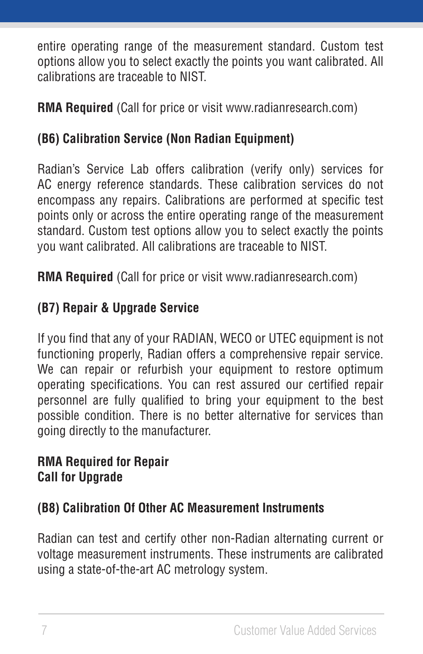entire operating range of the measurement standard. Custom test options allow you to select exactly the points you want calibrated. All calibrations are traceable to NIST.

**RMA Required** (Call for price or visit www.radianresearch.com)

# **(B6) Calibration Service (Non Radian Equipment)**

Radian's Service Lab offers calibration (verify only) services for AC energy reference standards. These calibration services do not encompass any repairs. Calibrations are performed at specific test points only or across the entire operating range of the measurement standard. Custom test options allow you to select exactly the points you want calibrated. All calibrations are traceable to NIST.

**RMA Required** (Call for price or visit www.radianresearch.com)

# **(B7) Repair & Upgrade Service**

If you find that any of your RADIAN, WECO or UTEC equipment is not functioning properly, Radian offers a comprehensive repair service. We can repair or refurbish your equipment to restore optimum operating specifications. You can rest assured our certified repair personnel are fully qualified to bring your equipment to the best possible condition. There is no better alternative for services than going directly to the manufacturer.

# **RMA Required for Repair Call for Upgrade**

# **(B8) Calibration Of Other AC Measurement Instruments**

Radian can test and certify other non-Radian alternating current or voltage measurement instruments. These instruments are calibrated using a state-of-the-art AC metrology system.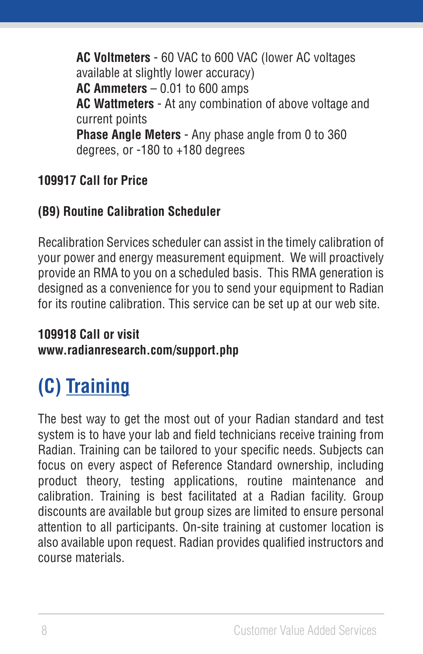**AC Voltmeters** - 60 VAC to 600 VAC (lower AC voltages available at slightly lower accuracy) **AC Ammeters** – 0.01 to 600 amps **AC Wattmeters** - At any combination of above voltage and current points **Phase Angle Meters** - Any phase angle from 0 to 360 degrees, or -180 to +180 degrees

# **109917 Call for Price**

# **(B9) Routine Calibration Scheduler**

Recalibration Services scheduler can assist in the timely calibration of your power and energy measurement equipment. We will proactively provide an RMA to you on a scheduled basis. This RMA generation is designed as a convenience for you to send your equipment to Radian for its routine calibration. This service can be set up at our web site.

# **109918 Call or visit www.radianresearch.com/support.php**

# **(C) Training**

The best way to get the most out of your Radian standard and test system is to have your lab and field technicians receive training from Radian. Training can be tailored to your specific needs. Subjects can focus on every aspect of Reference Standard ownership, including product theory, testing applications, routine maintenance and calibration. Training is best facilitated at a Radian facility. Group discounts are available but group sizes are limited to ensure personal attention to all participants. On-site training at customer location is also available upon request. Radian provides qualified instructors and course materials.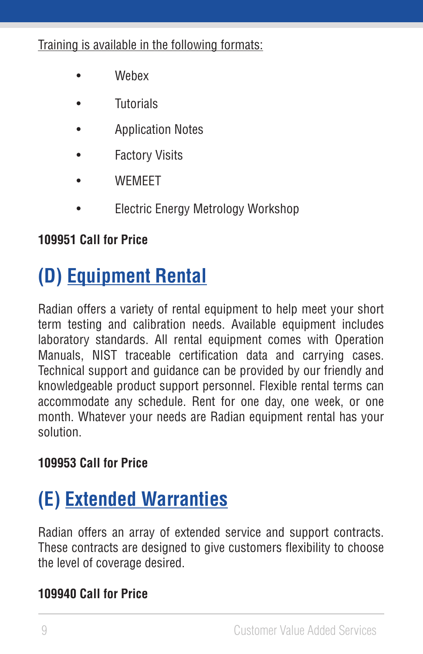# Training is available in the following formats:

- Webex
- **Tutorials**
- Application Notes
- **Factory Visits**
- **WEMEET**
- Electric Energy Metrology Workshop

# **109951 Call for Price**

# **(D) Equipment Rental**

Radian offers a variety of rental equipment to help meet your short term testing and calibration needs. Available equipment includes laboratory standards. All rental equipment comes with Operation Manuals, NIST traceable certification data and carrying cases. Technical support and guidance can be provided by our friendly and knowledgeable product support personnel. Flexible rental terms can accommodate any schedule. Rent for one day, one week, or one month. Whatever your needs are Radian equipment rental has your solution.

# **109953 Call for Price**

# **(E) Extended Warranties**

Radian offers an array of extended service and support contracts. These contracts are designed to give customers flexibility to choose the level of coverage desired.

# **109940 Call for Price**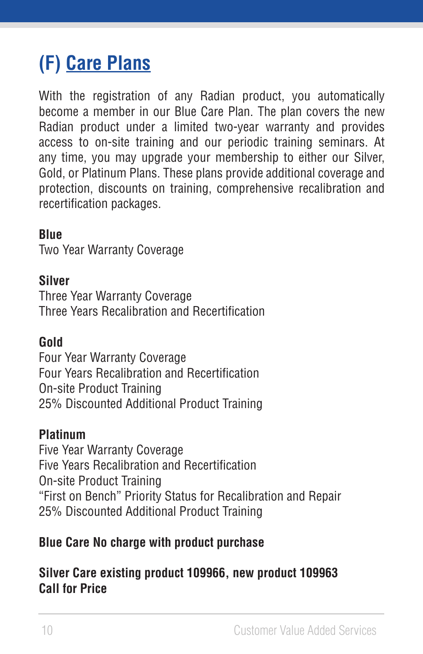# **(F) Care Plans**

With the registration of any Radian product, you automatically become a member in our Blue Care Plan. The plan covers the new Radian product under a limited two-year warranty and provides access to on-site training and our periodic training seminars. At any time, you may upgrade your membership to either our Silver, Gold, or Platinum Plans. These plans provide additional coverage and protection, discounts on training, comprehensive recalibration and recertification packages.

# **Blue**

Two Year Warranty Coverage

#### **Silver**

Three Year Warranty Coverage Three Years Recalibration and Recertification

### **Gold**

Four Year Warranty Coverage Four Years Recalibration and Recertification On-site Product Training 25% Discounted Additional Product Training

### **Platinum**

Five Year Warranty Coverage Five Years Recalibration and Recertification On-site Product Training "First on Bench" Priority Status for Recalibration and Repair 25% Discounted Additional Product Training

# **Blue Care No charge with product purchase**

### **Silver Care existing product 109966, new product 109963 Call for Price**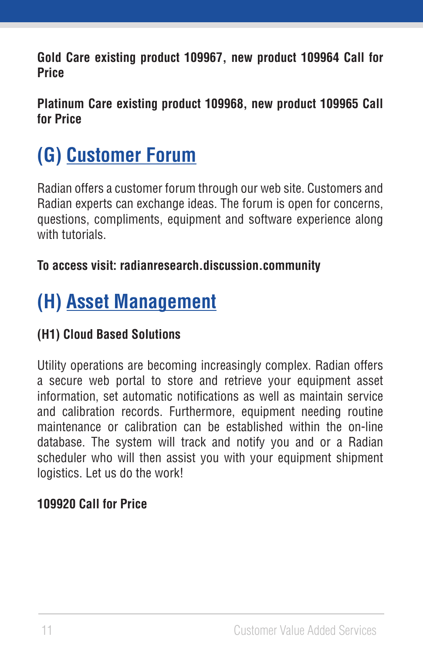**Gold Care existing product 109967, new product 109964 Call for Price**

**Platinum Care existing product 109968, new product 109965 Call for Price**

# **(G) Customer Forum**

Radian offers a customer forum through our web site. Customers and Radian experts can exchange ideas. The forum is open for concerns, questions, compliments, equipment and software experience along with tutorials.

# **To access visit: radianresearch.discussion.community**

# **(H) Asset Management**

# **(H1) Cloud Based Solutions**

Utility operations are becoming increasingly complex. Radian offers a secure web portal to store and retrieve your equipment asset information, set automatic notifications as well as maintain service and calibration records. Furthermore, equipment needing routine maintenance or calibration can be established within the on-line database. The system will track and notify you and or a Radian scheduler who will then assist you with your equipment shipment logistics. Let us do the work!

# **109920 Call for Price**